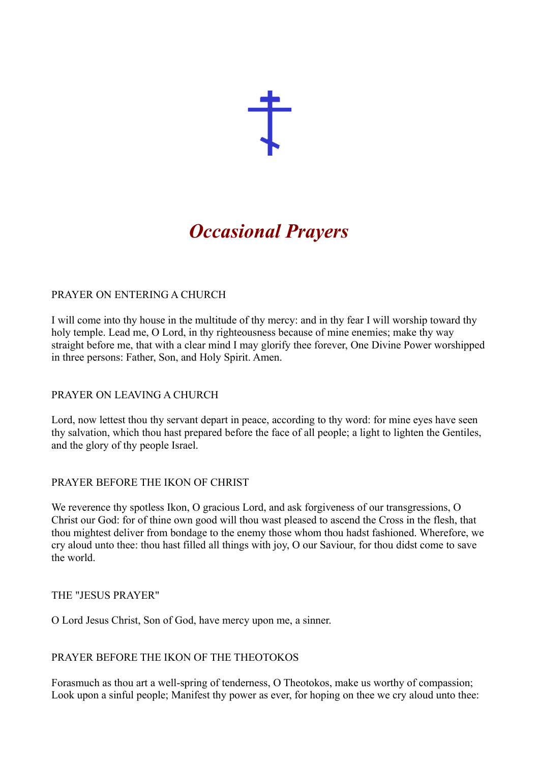

# *Occasional Prayers*

# PRAYER ON ENTERING A CHURCH

I will come into thy house in the multitude of thy mercy: and in thy fear I will worship toward thy holy temple. Lead me, O Lord, in thy righteousness because of mine enemies; make thy way straight before me, that with a clear mind I may glorify thee forever, One Divine Power worshipped in three persons: Father, Son, and Holy Spirit. Amen.

## PRAYER ON LEAVING A CHURCH

Lord, now lettest thou thy servant depart in peace, according to thy word: for mine eyes have seen thy salvation, which thou hast prepared before the face of all people; a light to lighten the Gentiles, and the glory of thy people Israel.

# PRAYER BEFORE THE IKON OF CHRIST

We reverence thy spotless Ikon, O gracious Lord, and ask forgiveness of our transgressions, O Christ our God: for of thine own good will thou wast pleased to ascend the Cross in the flesh, that thou mightest deliver from bondage to the enemy those whom thou hadst fashioned. Wherefore, we cry aloud unto thee: thou hast filled all things with joy, O our Saviour, for thou didst come to save the world.

## THE "JESUS PRAYER"

O Lord Jesus Christ, Son of God, have mercy upon me, a sinner.

## PRAYER BEFORE THE IKON OF THE THEOTOKOS

Forasmuch as thou art a well-spring of tenderness, O Theotokos, make us worthy of compassion; Look upon a sinful people; Manifest thy power as ever, for hoping on thee we cry aloud unto thee: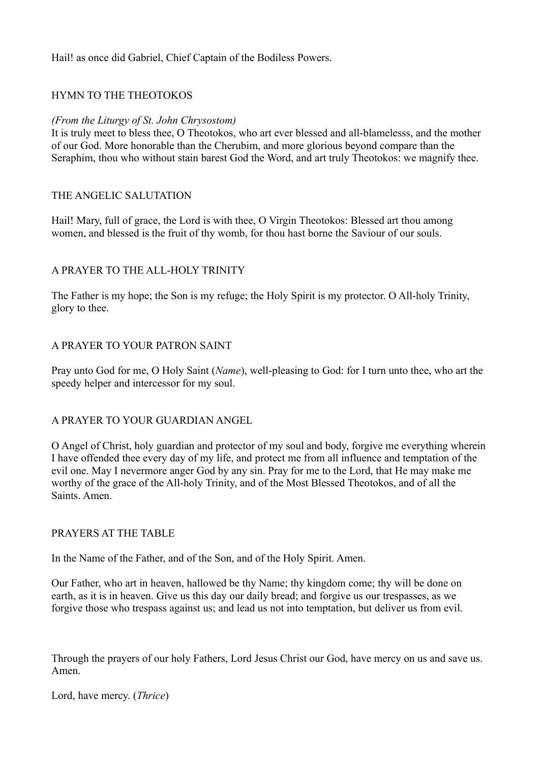Hail! as once did Gabriel, Chief Captain of the Bodiless Powers.

# HYMN TO THE THEOTOKOS

#### *(From the Liturgy of St. John Chrysostom)*

It is truly meet to bless thee, O Theotokos, who art ever blessed and all-blamelesss, and the mother of our God. More honorable than the Cherubim, and more glorious beyond compare than the Seraphim, thou who without stain barest God the Word, and art truly Theotokos: we magnify thee.

#### THE ANGELIC SALUTATION

Hail! Mary, full of grace, the Lord is with thee, O Virgin Theotokos: Blessed art thou among women, and blessed is the fruit of thy womb, for thou hast borne the Saviour of our souls.

## A PRAYER TO THE ALL-HOLY TRINITY

The Father is my hope; the Son is my refuge; the Holy Spirit is my protector. O All-holy Trinity, glory to thee.

#### A PRAYER TO YOUR PATRON SAINT

Pray unto God for me, O Holy Saint (*Name*), well-pleasing to God: for I turn unto thee, who art the speedy helper and intercessor for my soul.

## A PRAYER TO YOUR GUARDIAN ANGEL

O Angel of Christ, holy guardian and protector of my soul and body, forgive me everything wherein I have offended thee every day of my life, and protect me from all influence and temptation of the evil one. May I nevermore anger God by any sin. Pray for me to the Lord, that He may make me worthy of the grace of the All-holy Trinity, and of the Most Blessed Theotokos, and of all the Saints. Amen.

#### PRAYERS AT THE TABLE

In the Name of the Father, and of the Son, and of the Holy Spirit. Amen.

Our Father, who art in heaven, hallowed be thy Name; thy kingdom come; thy will be done on earth, as it is in heaven. Give us this day our daily bread; and forgive us our trespasses, as we forgive those who trespass against us; and lead us not into temptation, but deliver us from evil.

Through the prayers of our holy Fathers, Lord Jesus Christ our God, have mercy on us and save us. Amen.

Lord, have mercy. (*Thrice*)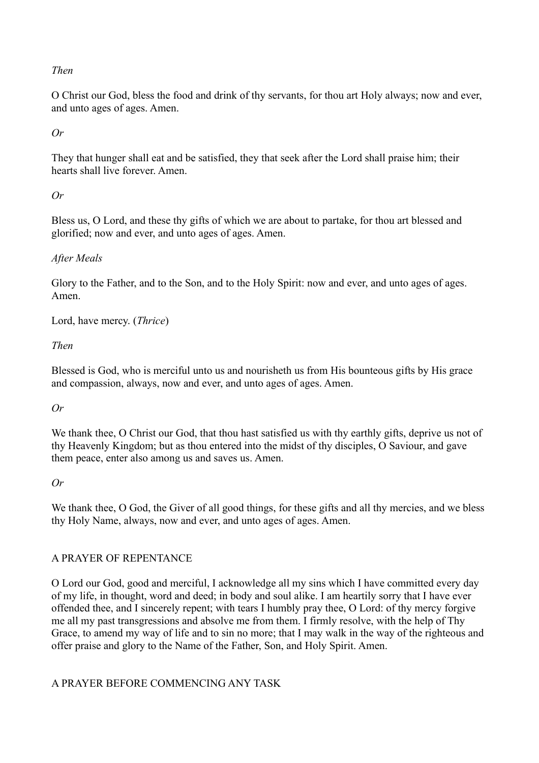#### *Then*

O Christ our God, bless the food and drink of thy servants, for thou art Holy always; now and ever, and unto ages of ages. Amen.

*Or*

They that hunger shall eat and be satisfied, they that seek after the Lord shall praise him; their hearts shall live forever. Amen.

#### *Or*

Bless us, O Lord, and these thy gifts of which we are about to partake, for thou art blessed and glorified; now and ever, and unto ages of ages. Amen.

## *After Meals*

Glory to the Father, and to the Son, and to the Holy Spirit: now and ever, and unto ages of ages. Amen.

Lord, have mercy. (*Thrice*)

#### *Then*

Blessed is God, who is merciful unto us and nourisheth us from His bounteous gifts by His grace and compassion, always, now and ever, and unto ages of ages. Amen.

## *Or*

We thank thee, O Christ our God, that thou hast satisfied us with thy earthly gifts, deprive us not of thy Heavenly Kingdom; but as thou entered into the midst of thy disciples, O Saviour, and gave them peace, enter also among us and saves us. Amen.

#### *Or*

We thank thee, O God, the Giver of all good things, for these gifts and all thy mercies, and we bless thy Holy Name, always, now and ever, and unto ages of ages. Amen.

## A PRAYER OF REPENTANCE

O Lord our God, good and merciful, I acknowledge all my sins which I have committed every day of my life, in thought, word and deed; in body and soul alike. I am heartily sorry that I have ever offended thee, and I sincerely repent; with tears I humbly pray thee, O Lord: of thy mercy forgive me all my past transgressions and absolve me from them. I firmly resolve, with the help of Thy Grace, to amend my way of life and to sin no more; that I may walk in the way of the righteous and offer praise and glory to the Name of the Father, Son, and Holy Spirit. Amen.

## A PRAYER BEFORE COMMENCING ANY TASK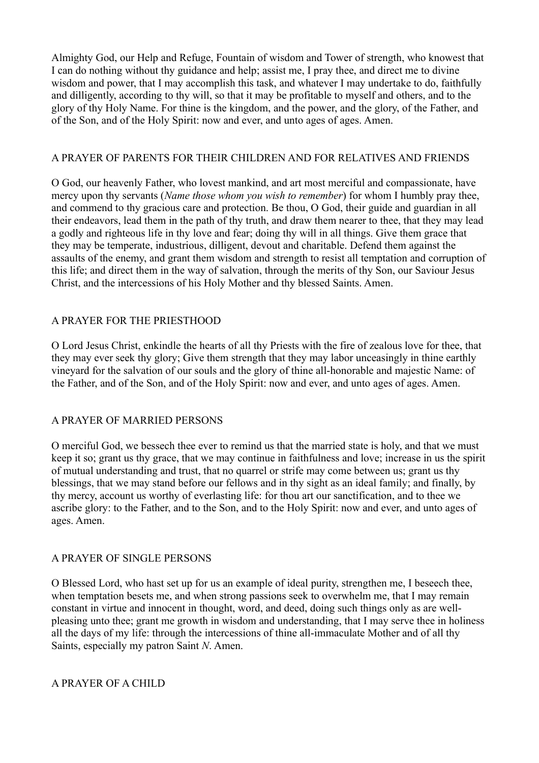Almighty God, our Help and Refuge, Fountain of wisdom and Tower of strength, who knowest that I can do nothing without thy guidance and help; assist me, I pray thee, and direct me to divine wisdom and power, that I may accomplish this task, and whatever I may undertake to do, faithfully and dilligently, according to thy will, so that it may be profitable to myself and others, and to the glory of thy Holy Name. For thine is the kingdom, and the power, and the glory, of the Father, and of the Son, and of the Holy Spirit: now and ever, and unto ages of ages. Amen.

#### A PRAYER OF PARENTS FOR THEIR CHILDREN AND FOR RELATIVES AND FRIENDS

O God, our heavenly Father, who lovest mankind, and art most merciful and compassionate, have mercy upon thy servants (*Name those whom you wish to remember*) for whom I humbly pray thee, and commend to thy gracious care and protection. Be thou, O God, their guide and guardian in all their endeavors, lead them in the path of thy truth, and draw them nearer to thee, that they may lead a godly and righteous life in thy love and fear; doing thy will in all things. Give them grace that they may be temperate, industrious, dilligent, devout and charitable. Defend them against the assaults of the enemy, and grant them wisdom and strength to resist all temptation and corruption of this life; and direct them in the way of salvation, through the merits of thy Son, our Saviour Jesus Christ, and the intercessions of his Holy Mother and thy blessed Saints. Amen.

#### A PRAYER FOR THE PRIESTHOOD

O Lord Jesus Christ, enkindle the hearts of all thy Priests with the fire of zealous love for thee, that they may ever seek thy glory; Give them strength that they may labor unceasingly in thine earthly vineyard for the salvation of our souls and the glory of thine all-honorable and majestic Name: of the Father, and of the Son, and of the Holy Spirit: now and ever, and unto ages of ages. Amen.

## A PRAYER OF MARRIED PERSONS

O merciful God, we bessech thee ever to remind us that the married state is holy, and that we must keep it so; grant us thy grace, that we may continue in faithfulness and love; increase in us the spirit of mutual understanding and trust, that no quarrel or strife may come between us; grant us thy blessings, that we may stand before our fellows and in thy sight as an ideal family; and finally, by thy mercy, account us worthy of everlasting life: for thou art our sanctification, and to thee we ascribe glory: to the Father, and to the Son, and to the Holy Spirit: now and ever, and unto ages of ages. Amen.

## A PRAYER OF SINGLE PERSONS

O Blessed Lord, who hast set up for us an example of ideal purity, strengthen me, I beseech thee, when temptation besets me, and when strong passions seek to overwhelm me, that I may remain constant in virtue and innocent in thought, word, and deed, doing such things only as are wellpleasing unto thee; grant me growth in wisdom and understanding, that I may serve thee in holiness all the days of my life: through the intercessions of thine all-immaculate Mother and of all thy Saints, especially my patron Saint *N*. Amen.

#### A PRAYER OF A CHILD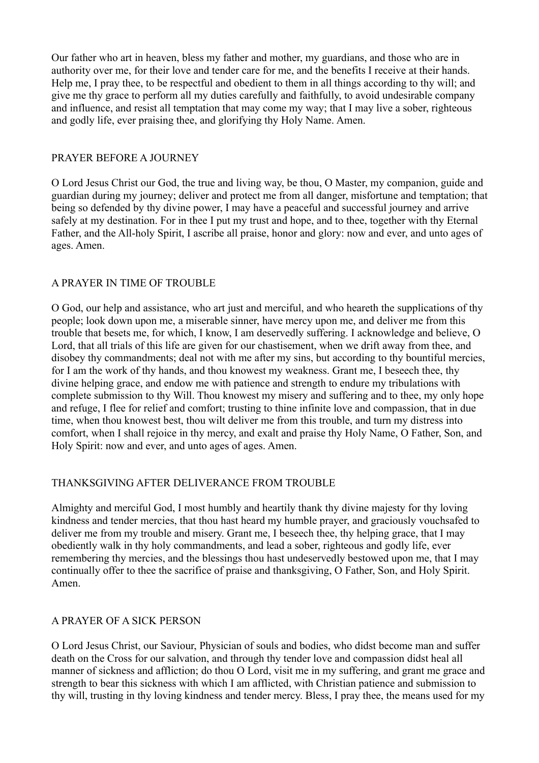Our father who art in heaven, bless my father and mother, my guardians, and those who are in authority over me, for their love and tender care for me, and the benefits I receive at their hands. Help me, I pray thee, to be respectful and obedient to them in all things according to thy will; and give me thy grace to perform all my duties carefully and faithfully, to avoid undesirable company and influence, and resist all temptation that may come my way; that I may live a sober, righteous and godly life, ever praising thee, and glorifying thy Holy Name. Amen.

## PRAYER BEFORE A JOURNEY

O Lord Jesus Christ our God, the true and living way, be thou, O Master, my companion, guide and guardian during my journey; deliver and protect me from all danger, misfortune and temptation; that being so defended by thy divine power, I may have a peaceful and successful journey and arrive safely at my destination. For in thee I put my trust and hope, and to thee, together with thy Eternal Father, and the All-holy Spirit, I ascribe all praise, honor and glory: now and ever, and unto ages of ages. Amen.

## A PRAYER IN TIME OF TROUBLE

O God, our help and assistance, who art just and merciful, and who heareth the supplications of thy people; look down upon me, a miserable sinner, have mercy upon me, and deliver me from this trouble that besets me, for which, I know, I am deservedly suffering. I acknowledge and believe, O Lord, that all trials of this life are given for our chastisement, when we drift away from thee, and disobey thy commandments; deal not with me after my sins, but according to thy bountiful mercies, for I am the work of thy hands, and thou knowest my weakness. Grant me, I beseech thee, thy divine helping grace, and endow me with patience and strength to endure my tribulations with complete submission to thy Will. Thou knowest my misery and suffering and to thee, my only hope and refuge, I flee for relief and comfort; trusting to thine infinite love and compassion, that in due time, when thou knowest best, thou wilt deliver me from this trouble, and turn my distress into comfort, when I shall rejoice in thy mercy, and exalt and praise thy Holy Name, O Father, Son, and Holy Spirit: now and ever, and unto ages of ages. Amen.

## THANKSGIVING AFTER DELIVERANCE FROM TROUBLE

Almighty and merciful God, I most humbly and heartily thank thy divine majesty for thy loving kindness and tender mercies, that thou hast heard my humble prayer, and graciously vouchsafed to deliver me from my trouble and misery. Grant me, I beseech thee, thy helping grace, that I may obediently walk in thy holy commandments, and lead a sober, righteous and godly life, ever remembering thy mercies, and the blessings thou hast undeservedly bestowed upon me, that I may continually offer to thee the sacrifice of praise and thanksgiving, O Father, Son, and Holy Spirit. Amen.

#### A PRAYER OF A SICK PERSON

O Lord Jesus Christ, our Saviour, Physician of souls and bodies, who didst become man and suffer death on the Cross for our salvation, and through thy tender love and compassion didst heal all manner of sickness and affliction; do thou O Lord, visit me in my suffering, and grant me grace and strength to bear this sickness with which I am afflicted, with Christian patience and submission to thy will, trusting in thy loving kindness and tender mercy. Bless, I pray thee, the means used for my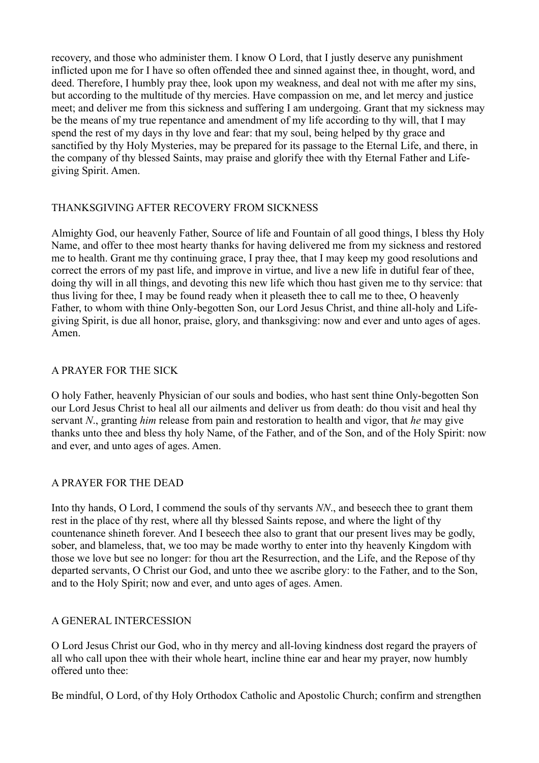recovery, and those who administer them. I know O Lord, that I justly deserve any punishment inflicted upon me for I have so often offended thee and sinned against thee, in thought, word, and deed. Therefore, I humbly pray thee, look upon my weakness, and deal not with me after my sins, but according to the multitude of thy mercies. Have compassion on me, and let mercy and justice meet; and deliver me from this sickness and suffering I am undergoing. Grant that my sickness may be the means of my true repentance and amendment of my life according to thy will, that I may spend the rest of my days in thy love and fear: that my soul, being helped by thy grace and sanctified by thy Holy Mysteries, may be prepared for its passage to the Eternal Life, and there, in the company of thy blessed Saints, may praise and glorify thee with thy Eternal Father and Lifegiving Spirit. Amen.

# THANKSGIVING AFTER RECOVERY FROM SICKNESS

Almighty God, our heavenly Father, Source of life and Fountain of all good things, I bless thy Holy Name, and offer to thee most hearty thanks for having delivered me from my sickness and restored me to health. Grant me thy continuing grace, I pray thee, that I may keep my good resolutions and correct the errors of my past life, and improve in virtue, and live a new life in dutiful fear of thee, doing thy will in all things, and devoting this new life which thou hast given me to thy service: that thus living for thee, I may be found ready when it pleaseth thee to call me to thee, O heavenly Father, to whom with thine Only-begotten Son, our Lord Jesus Christ, and thine all-holy and Lifegiving Spirit, is due all honor, praise, glory, and thanksgiving: now and ever and unto ages of ages. Amen.

## A PRAYER FOR THE SICK

O holy Father, heavenly Physician of our souls and bodies, who hast sent thine Only-begotten Son our Lord Jesus Christ to heal all our ailments and deliver us from death: do thou visit and heal thy servant *N*., granting *him* release from pain and restoration to health and vigor, that *he* may give thanks unto thee and bless thy holy Name, of the Father, and of the Son, and of the Holy Spirit: now and ever, and unto ages of ages. Amen.

## A PRAYER FOR THE DEAD

Into thy hands, O Lord, I commend the souls of thy servants *NN*., and beseech thee to grant them rest in the place of thy rest, where all thy blessed Saints repose, and where the light of thy countenance shineth forever. And I beseech thee also to grant that our present lives may be godly, sober, and blameless, that, we too may be made worthy to enter into thy heavenly Kingdom with those we love but see no longer: for thou art the Resurrection, and the Life, and the Repose of thy departed servants, O Christ our God, and unto thee we ascribe glory: to the Father, and to the Son, and to the Holy Spirit; now and ever, and unto ages of ages. Amen.

## A GENERAL INTERCESSION

O Lord Jesus Christ our God, who in thy mercy and all-loving kindness dost regard the prayers of all who call upon thee with their whole heart, incline thine ear and hear my prayer, now humbly offered unto thee:

Be mindful, O Lord, of thy Holy Orthodox Catholic and Apostolic Church; confirm and strengthen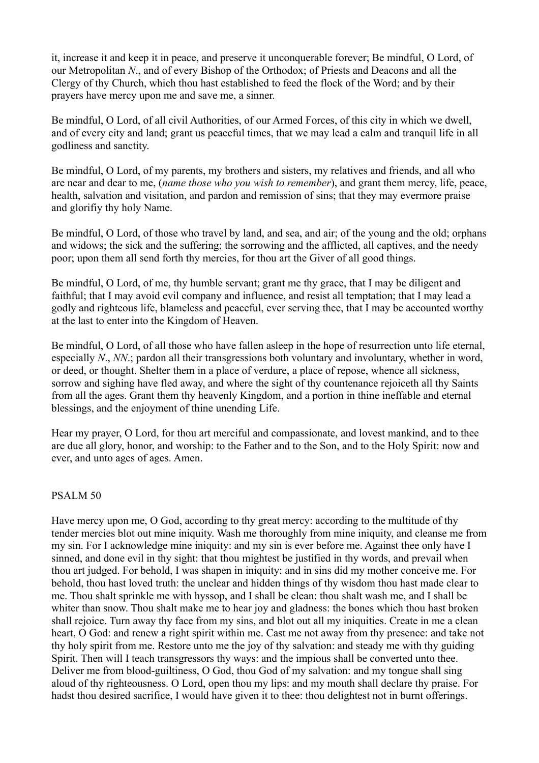it, increase it and keep it in peace, and preserve it unconquerable forever; Be mindful, O Lord, of our Metropolitan *N*., and of every Bishop of the Orthodox; of Priests and Deacons and all the Clergy of thy Church, which thou hast established to feed the flock of the Word; and by their prayers have mercy upon me and save me, a sinner.

Be mindful, O Lord, of all civil Authorities, of our Armed Forces, of this city in which we dwell, and of every city and land; grant us peaceful times, that we may lead a calm and tranquil life in all godliness and sanctity.

Be mindful, O Lord, of my parents, my brothers and sisters, my relatives and friends, and all who are near and dear to me, (*name those who you wish to remember*), and grant them mercy, life, peace, health, salvation and visitation, and pardon and remission of sins; that they may evermore praise and glorifiy thy holy Name.

Be mindful, O Lord, of those who travel by land, and sea, and air; of the young and the old; orphans and widows; the sick and the suffering; the sorrowing and the afflicted, all captives, and the needy poor; upon them all send forth thy mercies, for thou art the Giver of all good things.

Be mindful, O Lord, of me, thy humble servant; grant me thy grace, that I may be diligent and faithful; that I may avoid evil company and influence, and resist all temptation; that I may lead a godly and righteous life, blameless and peaceful, ever serving thee, that I may be accounted worthy at the last to enter into the Kingdom of Heaven.

Be mindful, O Lord, of all those who have fallen asleep in the hope of resurrection unto life eternal, especially *N*., *NN*.; pardon all their transgressions both voluntary and involuntary, whether in word, or deed, or thought. Shelter them in a place of verdure, a place of repose, whence all sickness, sorrow and sighing have fled away, and where the sight of thy countenance rejoiceth all thy Saints from all the ages. Grant them thy heavenly Kingdom, and a portion in thine ineffable and eternal blessings, and the enjoyment of thine unending Life.

Hear my prayer, O Lord, for thou art merciful and compassionate, and lovest mankind, and to thee are due all glory, honor, and worship: to the Father and to the Son, and to the Holy Spirit: now and ever, and unto ages of ages. Amen.

## PSALM 50

Have mercy upon me, O God, according to thy great mercy: according to the multitude of thy tender mercies blot out mine iniquity. Wash me thoroughly from mine iniquity, and cleanse me from my sin. For I acknowledge mine iniquity: and my sin is ever before me. Against thee only have I sinned, and done evil in thy sight: that thou mightest be justified in thy words, and prevail when thou art judged. For behold, I was shapen in iniquity: and in sins did my mother conceive me. For behold, thou hast loved truth: the unclear and hidden things of thy wisdom thou hast made clear to me. Thou shalt sprinkle me with hyssop, and I shall be clean: thou shalt wash me, and I shall be whiter than snow. Thou shalt make me to hear joy and gladness: the bones which thou hast broken shall rejoice. Turn away thy face from my sins, and blot out all my iniquities. Create in me a clean heart, O God: and renew a right spirit within me. Cast me not away from thy presence: and take not thy holy spirit from me. Restore unto me the joy of thy salvation: and steady me with thy guiding Spirit. Then will I teach transgressors thy ways: and the impious shall be converted unto thee. Deliver me from blood-guiltiness, O God, thou God of my salvation: and my tongue shall sing aloud of thy righteousness. O Lord, open thou my lips: and my mouth shall declare thy praise. For hadst thou desired sacrifice, I would have given it to thee: thou delightest not in burnt offerings.